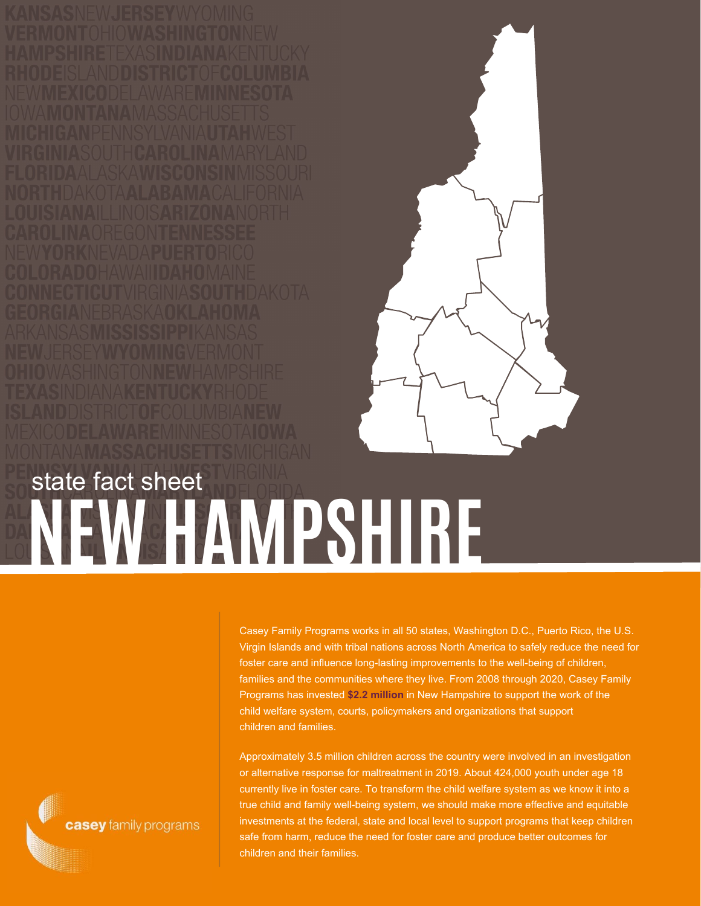

## **NEW HAMPSHIRE** state fact sheet

Casey Family Programs works in all 50 states, Washington D.C., Puerto Rico, the U.S. Virgin Islands and with tribal nations across North America to safely reduce the need for foster care and influence long-lasting improvements to the well-being of children, families and the communities where they live. From 2008 through 2020, Casey Family Programs has invested **\$2.2 million** in New Hampshire to support the work of the child welfare system, courts, policymakers and organizations that support children and families.

Approximately 3.5 million children across the country were involved in an investigation or alternative response for maltreatment in 2019. About 424,000 youth under age 18 currently live in foster care. To transform the child welfare system as we know it into a true child and family well-being system, we should make more effective and equitable investments at the federal, state and local level to support programs that keep children safe from harm, reduce the need for foster care and produce better outcomes for children and their families.

casey family programs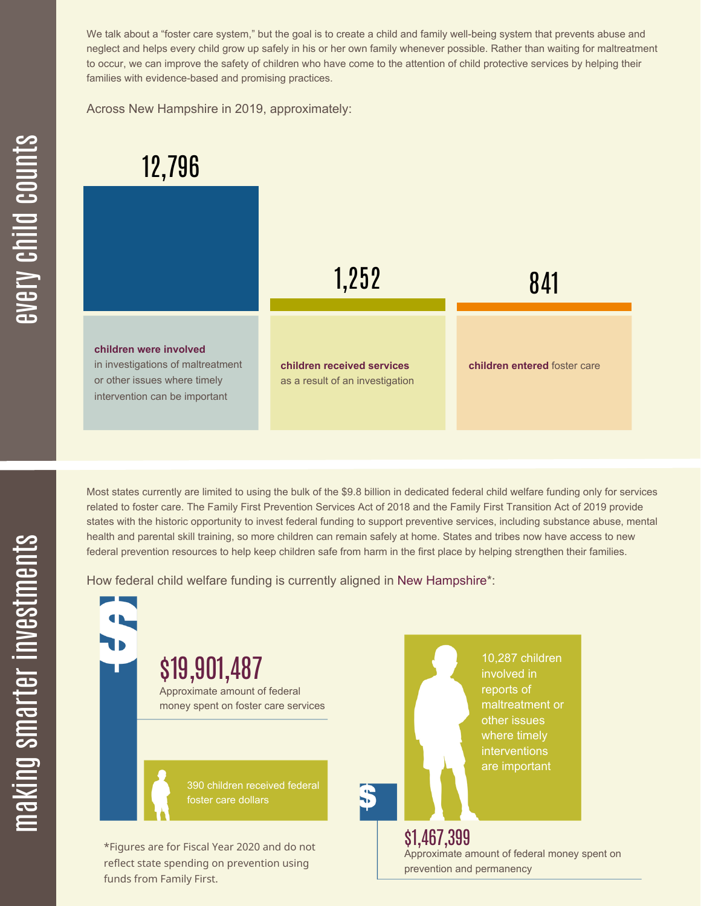We talk about a "foster care system," but the goal is to create a child and family well-being system that prevents abuse and neglect and helps every child grow up safely in his or her own family whenever possible. Rather than waiting for maltreatment to occur, we can improve the safety of children who have come to the attention of child protective services by helping their families with evidence-based and promising practices.

Across New Hampshire in 2019, approximately:



Most states currently are limited to using the bulk of the \$9.8 billion in dedicated federal child welfare funding only for services related to foster care. The Family First Prevention Services Act of 2018 and the Family First Transition Act of 2019 provide states with the historic opportunity to invest federal funding to support preventive services, including substance abuse, mental health and parental skill training, so more children can remain safely at home. States and tribes now have access to new federal prevention resources to help keep children safe from harm in the first place by helping strengthen their families.

How federal child welfare funding is currently aligned in New Hampshire\*:



 $\mathbf \Xi$ **CO** kin gs $\mathbf \Xi$ **CO** rtæ r in  $\, >$ c جا  $\mathbf \Xi$ c  $\blacksquare$  $\mathbf{S}$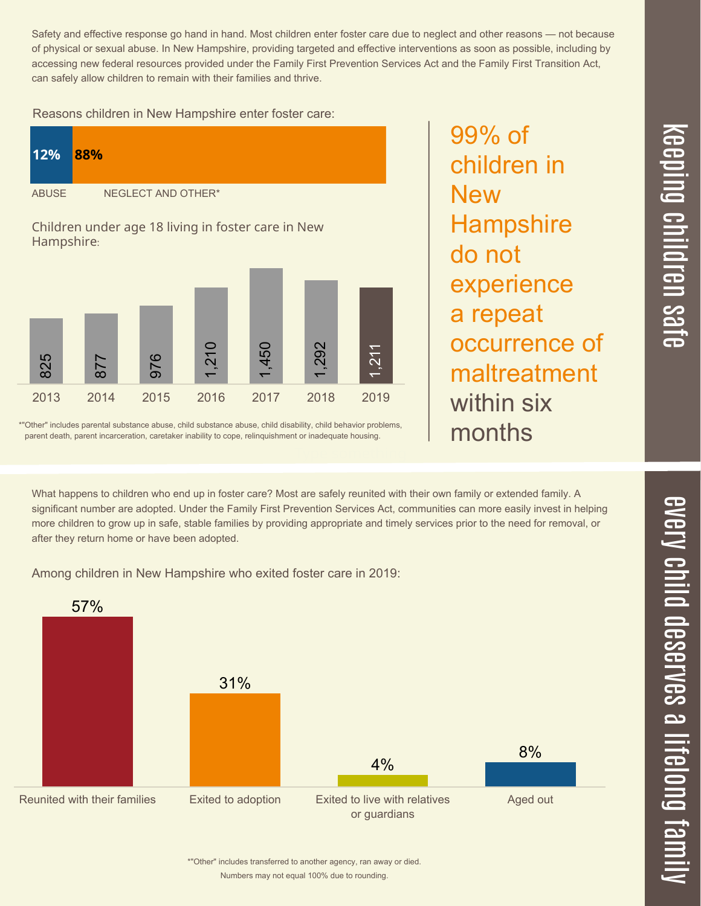Safety and effective response go hand in hand. Most children enter foster care due to neglect and other reasons — not because of physical or sexual abuse. In New Hampshire, providing targeted and effective interventions as soon as possible, including by accessing new federal resources provided under the Family First Prevention Services Act and the Family First Transition Act, can safely allow children to remain with their families and thrive.

Reasons children in New Hampshire enter foster care:

| 12%                                                              | 88%                |
|------------------------------------------------------------------|--------------------|
| <b>ABUSE</b>                                                     | NEGLECT AND OTHER* |
| Children under age 18 living in foster care in New<br>Hampshire: |                    |



\*"Other" includes parental substance abuse, child substance abuse, child disability, child behavior problems, parent death, parent incarceration, caretaker inability to cope, relinquishment or inadequate housing.

What happens to children who end up in foster care? Most are safely reunited with their own family or extended family. A significant number are adopted. Under the Family First Prevention Services Act, communities can more easily invest in helping more children to grow up in safe, stable families by providing appropriate and timely services prior to the need for removal, or after they return home or have been adopted.

Among children in New Hampshire who exited foster care in 2019:



99% of children in **New Hampshire** do not experience a repeat occurrence of maltreatment within six months

 $\overline{\mathbf{C}}$  $\leq$  $\overline{\mathbf{C}}$  $\overline{\mathsf{Z}}$  $\overline{\mathbf{C}}$ 

 $\equiv$ 

 $\blacksquare$ e  $\boldsymbol{\mathcal{C}}$  $\overline{\mathbf{C}}$  $\overline{\phantom{a}}$  $\overline{\mathbf{C}}$  $\mathcal{C}$ <u>م</u>

 $\equiv$ 

el<br>O  $\overline{\phantom{0}}$  $\blacksquare$ 

t<br>B

mily

 $\overline{\phantom{1}}$ 

Numbers may not equal 100% due to rounding. \*"Other" includes transferred to another agency, ran away or died.